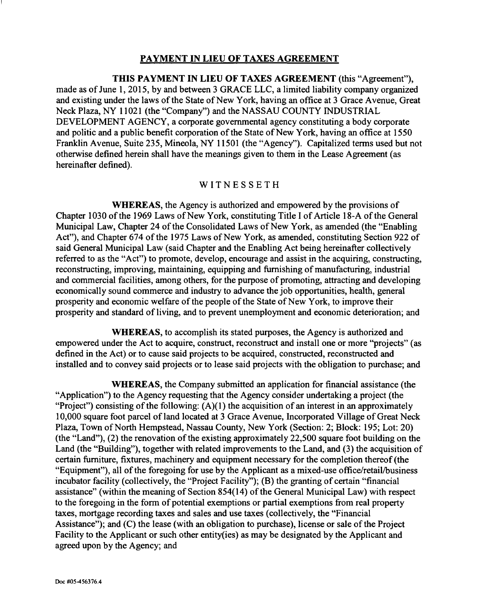## PAYMENT IN LIEU OF TAXES AGREEMENT

THIS PAYMENT IN LIEU OF TAXES AGREEMENT (this "Agreement"), made as of June 1, 2015, by and between 3 GRACE LLC, a limited liability company organized and existing under the laws of the State of New York, having an office at 3 Grace Avenue, Great Neck Plaza, NY 11021 (the "Company") and the NASSAU COUNTY INDUSTRIAL DEVELOPMENT AGENCY, a corporate governmental agency constituting a body corporate and politic and a public benefit corporation of the State of New York, having an office at 1550 Franklin Avenue, Suite 235, Mineola, NY 11501 (the "Agency"). Capitalized terms used but not otherwise defined herein shall have the meanings given to them in the Lease Agreement (as hereinafter defined).

#### **WITNESSETH**

WHEREAS, the Agency is authorized and empowered by the provisions of Chapter 1030 of the 1969 Laws of New York, constituting Title I of Article 18-A of the General Municipal Law, Chapter 24 of the Consolidated Laws of New York, as amended (the "Enabling Act"), and Chapter 674 of the 1975 Laws of New York, as amended, constituting Section 922 of said General Municipal Law (said Chapter and the Enabling Act being hereinafter collectively referred to as the "Act") to promote, develop, encourage and assist in the acquiring, constructing, reconstructing, improving, maintaining, equipping and furnishing of manufacturing, industrial and commercial facilities, among others, for the purpose of promoting, attracting and developing economically sound commerce and industry to advance the job opportunities, health, general prosperity and economic welfare of the people of the State of New York, to improve their prosperity and standard of living, and to prevent unemployment and economic deterioration; and

WHEREAS, to accomplish its stated purposes, the Agency is authorized and empowered under the Act to acquire, construct, reconstruct and install one or more "projects" (as defined in the Act) or to cause said projects to be acquired, constructed, reconstructed and installed and to convey said projects or to lease said projects with the obligation to purchase; and

WHEREAS, the Company submitted an application for financial assistance (the "Application") to the Agency requesting that the Agency consider undertaking a project (the "Project") consisting of the following:  $(A)(1)$  the acquisition of an interest in an approximately 10,000 square foot parcel of land located at 3 Grace Avenue, Incorporated Village of Great Neck Plaza, Town of North Hempstead, Nassau County, New York (Section: 2; Block: 195; Lot: 20) (the "Land"), (2) the renovation of the existing approximately  $22,500$  square foot building on the Land (the "Building"), together with related improvements to the Land, and (3) the acquisition of certain furniture, fixtures, machinery and equipment necessary for the completion thereof (the "Equipment"), all of the foregoing for use by the Applicant as a mixed-use office/retail/business incubator facility (collectively, the "Project Facility"); (B) the granting of certain "financial assistance" (within the meaning of Section 854(14) of the General Municipal Law) with respect to the foregoing in the form of potential exemptions or partial exemptions from real property taxes, mortgage recording taxes and sales and use taxes (collectively, the "Financial Assistance"); and (C) the lease (with an obligation to purchase), license or sale of the Project Facility to the Applicant or such other entity(ies) as may be designated by the Applicant and agreed upon by the Agency; and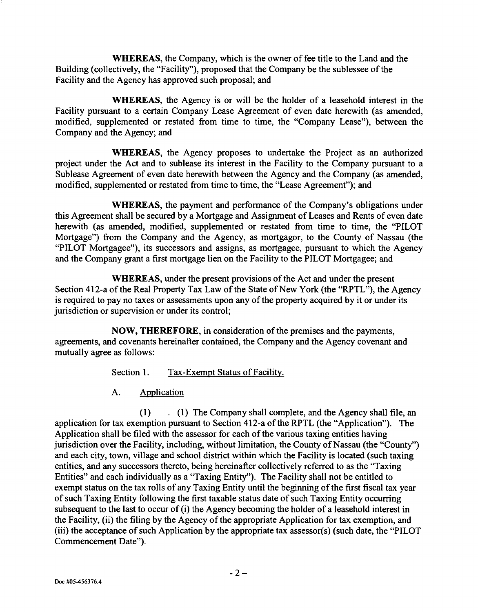WHEREAS, the Company, which is the owner of fee title to the Land and the Building (collectively, the "Facility"), proposed that the Company be the sublessee of the Facility and the Agency has approved such proposal; and

WHEREAS, the Agency is or will be the holder of a leasehold interest in the Facility pursuant to a certain Company Lease Agreement of even date herewith (as amended, modified, supplemented or restated from time to time, the "Company Lease"), between the Company and the Agency; and

WHEREAS, the Agency proposes to undertake the Project as an authorized project under the Act and to sublease its interest in the Facility to the Company pursuant to a Sublease Agreement of even date herewith between the Agency and the Company (as amended, modified, supplemented or restated from time to time, the "Lease Agreement"); and

WHEREAS, the payment and performance of the Company's obligations under this Agreement shall be secured by a Mortgage and Assignment of Leases and Rents of even date herewith (as amended, modified, supplemented or restated from time to time, the "PILOT Mortgage") from the Company and the Agency, as mortgagor, to the County of Nassau (the "PILOT Mortgagee"), its successors and assigns, as mortgagee, pursuant to which the Agency and the Company grant a first mortgage lien on the Facility to the PILOT Mortgagee; and

WHEREAS, under the present provisions of the Act and under the present Section 412-a of the Real Property Tax Law of the State of New York (the "RPTL"), the Agency is required to pay no taxes or assessments upon any of the property acquired by it or under its jurisdiction or supervision or under its control;

NOW, THEREFORE, in consideration of the premises and the payments, agreements, and covenants hereinafter contained, the Company and the Agency covenant and mutually agree as follows:

Section 1. Tax-Exempt Status of Facility.

A. Application

(1) . (1) The Company shall complete, and the Agency shall file, an application for tax exemption pursuant to Section 412-a of the RPTL (the "Application"). The Application shall be filed with the assessor for each of the various taxing entities having jurisdiction over the Facility, including, without limitation, the County of Nassau (the "County") and each city, town, village and school district within which the Facility is located (such taxing entities, and any successors thereto, being hereinafter collectively referred to as the "Taxing Entities" and each individually as a "Taxing Entity"). The Facility shall not be entitled to exempt status on the tax rolls of any Taxing Entity until the beginning of the first fiscal tax year of such Taxing Entity following the first taxable status date of such Taxing Entity occurring subsequent to the last to occur of (i) the Agency becoming the holder of a leasehold interest in the Facility, (ii) the filing by the Agency of the appropriate Application for tax exemption, and (iii) the acceptance of such Application by the appropriate tax assessor(s) (such date, the "PILOT Commencement Date").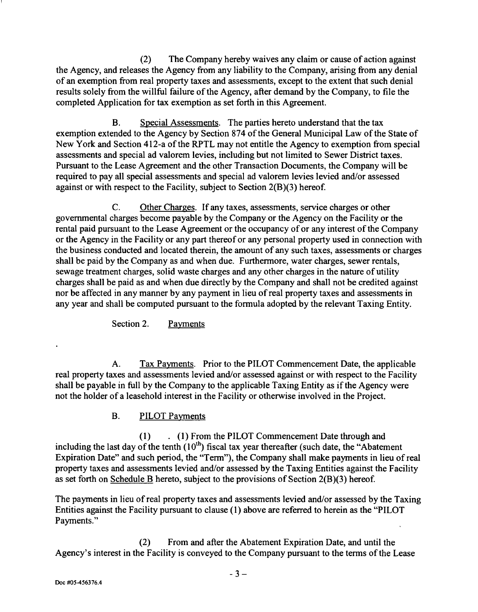(2) The Company hereby waives any claim or cause of action against the Agency, and releases the Agency from any liability to the Company, arising from any denial of an exemption from real property taxes and assessments, except to the extent that such denial results solely from the willful failure of the Agency, after demand by the Company, to file the completed Application for tax exemption as set forth in this Agreement.

B. Special Assessments. The parties hereto understand that the tax exemption extended to the Agency by Section 874 of the General Municipal Law of the State of New York and Section 412-a of the RPTL may not entitle the Agency to exemption from special assessments and special ad valorem levies, including but not limited to Sewer District taxes. Pursuant to the Lease Agreement and the other Transaction Documents, the Company will be required to pay all special assessments and special ad valorem levies levied and/or assessed against or with respect to the Facility, subject to Section 2(B)(3) hereof.

C. Other Charges. If any taxes, assessments, service charges or other governmental charges become payable by the Company or the Agency on the Facility or the rental paid pursuant to the Lease Agreement or the occupancy of or any interest of the Company or the Agency in the Facility or any part thereof or any personal property used in connection with the business conducted and located therein, the amount of any such taxes, assessments or charges shall be paid by the Company as and when due. Furthermore, water charges, sewer rentals, sewage treatment charges, solid waste charges and any other charges in the nature of utility charges shall be paid as and when due directly by the Company and shall not be credited against nor be affected in any manner by any payment in lieu of real property taxes and assessments in any year and shall be computed pursuant to the formula adopted by the relevant Taxing Entity.

Section 2. Payments

A. Tax Payments. Prior to the PILOT Commencement Date, the applicable real property taxes and assessments levied and/or assessed against or with respect to the Facility shall be payable in full by the Company to the applicable Taxing Entity as if the Agency were not the holder of a leasehold interest in the Facility or otherwise involved in the Project.

# B. PILOT Payments

(1) . (1) From the PILOT Commencement Date through and including the last day of the tenth  $(10^{th})$  fiscal tax year thereafter (such date, the "Abatement Expiration Date" and such period, the "Term"), the Company shall make payments in lieu of real property taxes and assessments levied and/or assessed by the Taxing Entities against the Facility as set forth on Schedule B hereto, subject to the provisions of Section 2(B)(3) hereof.

The payments in lieu of real property taxes and assessments levied and/or assessed by the Taxing Entities against the Facility pursuant to clause (1) above are referred to herein as the "PILOT Payments."

(2) From and after the Abatement Expiration Date, and until the Agency's interest in the Facility is conveyed to the Company pursuant to the terms of the Lease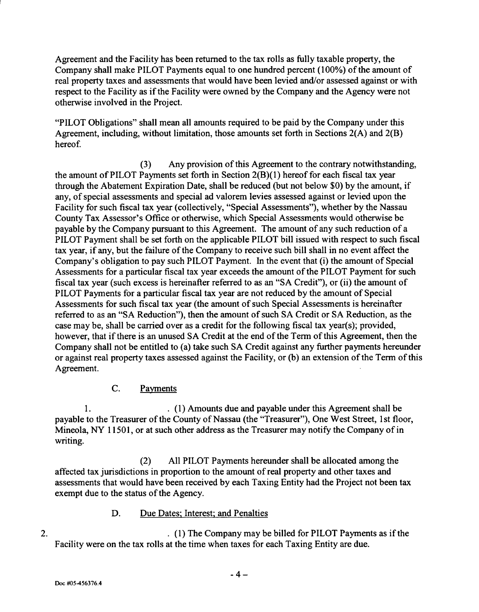Agreement and the Facility has been returned to the tax rolls as fully taxable property, the Company shall make PILOT Payments equal to one hundred percent (100%) of the amount of real property taxes and assessments that would have been levied and/or assessed against or with respect to the Facility as if the Facility were owned by the Company and the Agency were not otherwise involved in the Project.

"PILOT Obligations" shall mean all amounts required to be paid by the Company under this Agreement, including, without limitation, those amounts set forth in Sections 2(A) and 2(B) hereof.

(3) Any provision of this Agreement to the contrary notwithstanding, the amount of PILOT Payments set forth in Section 2(B)(I) hereof for each fiscal tax year through the Abatement Expiration Date, shall be reduced (but not below \$0) by the amount, if any, of special assessments and special ad valorem levies assessed against or levied upon the Facility for such fiscal tax year (collectively, "Special Assessments"), whether by the Nassau County Tax Assessor's Office or otherwise, which Special Assessments would otherwise be payable by the Company pursuant to this Agreement. The amount of any such reduction of a PILOT Payment shall be set forth on the applicable PILOT bill issued with respect to such fiscal tax year, if any, but the failure of the Company to receive such bill shall in no event affect the Company's obligation to pay such PILOT Payment. In the event that (i) the amount of Special Assessments for a particular fiscal tax year exceeds the amount of the PILOT Payment for such fiscal tax year (such excess is hereinafter referred to as an "SA Credit"), or (ii) the amount of PILOT Payments for a particular fiscal tax year are not reduced by the amount of Special Assessments for such fiscal tax year (the amount of such Special Assessments is hereinafter referred to as an "SA Reduction"), then the amount of such SA Credit or SA Reduction, as the case may be, shall be carried over as a credit for the following fiscal tax year(s); provided, however, that if there is an unused SA Credit at the end of the Term of this Agreement, then the Company shall not be entitled to (a) take such SA Credit against any further payments hereunder or against real property taxes assessed against the Facility, or (b) an extension of the Term of this Agreement.

## C. Payments

1. . (1) Amounts due and payable under this Agreement shall be payable to the Treasurer of the County of Nassau (the "Treasurer"), One West Street, 1st floor, Mineola, NY 11501, or at such other address as the Treasurer may notify the Company of in writing.

(2) All PILOT Payments hereunder shall be allocated among the affected tax jurisdictions in proportion to the amount of real property and other taxes and assessments that would have been received by each Taxing Entity had the Project not been tax exempt due to the status of the Agency.

## D. Due Dates; Interest; and Penalties

2. 2. **2. 2. 1) The Company may be billed for PILOT Payments as if the** Facility were on the tax rolls at the time when taxes for each Taxing Entity are due.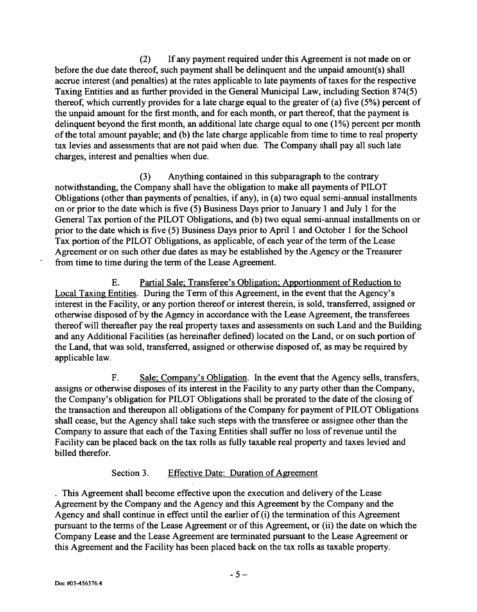(2) If any payment required under this Agreement is not made on or before the due date thereof, such payment shall be delinquent and the unpaid amount(s) shall accrue interest (and penalties) at the rates applicable to late payments of taxes for the respective Taxing Entities and as further provided in the General Municipal Law, including Section 874(5) thereof, which currently provides for a late charge equal to the greater of (a) five (5%) percent of the unpaid amount for the first month, and for each month, or part thereof, that the payment is delinquent beyond the first month, an additional late charge equal to one  $(1\%)$  percent per month of the total amount payable; and (b) the late charge applicable from time to time to real property tax levies and assessments that are not paid when due. The Company shall pay all such late charges, interest and penalties when due.

(3) Anything contained in this subparagraph to the contrary notwithstanding, the Company shall have the obligation to make all payments of PILOT Obligations (other than payments of penalties, if any), in (a) two equal semi-annual installments on or prior to the date which is five (5) Business Days prior to January 1 and July 1 for the General Tax portion of the PILOT Obligations, and (b) two equal semi-annual installments on or prior to the date which is five (5) Business Days prior to April 1 and October 1 for the School Tax portion of the PILOT Obligations, as applicable, of each year of the term of the Lease Agreement or on such other due dates as may be established by the Agency or the Treasurer from time to time during the term of the Lease Agreement.

E. Partial Sale; Transferee's Obligation; Apportionment of Reduction to Local Taxing Entities. During the Term of this Agreement, in the event that the Agency's interest in the Facility, or any portion thereof or interest therein, is sold, transferred, assigned or otherwise disposed of by the Agency in accordance with the Lease Agreement, the transferees thereof will thereafter pay the real property taxes and assessments on such Land and the Building and any Additional Facilities (as hereinafter defined) located on the Land, or on such portion of the Land, that was sold, transferred, assigned or otherwise disposed of, as may be required by applicable law.

F. Sale; Company's Obligation. In the event that the Agency sells, transfers, assigns or otherwise disposes of its interest in the Facility to any party other than the Company, the Company's obligation for PILOT Obligations shall be prorated to the date of the closing of the transaction and thereupon all obligations of the Company for payment of PILOT Obligations shall cease, but the Agency shall take such steps with the transferee or assignee other than the Company to assure that each of the Taxing Entities shall suffer no loss of revenue until the Facility can be placed back on the tax rolls as fully taxable real property and taxes levied and billed therefor.

## Section 3. Effective Date: Duration of Agreement

This Agreement shall become effective upon the execution and delivery of the Lease Agreement by the Company and the Agency and this Agreement by the Company and the Agency and shall continue in effect until the earlier of (i) the termination of this Agreement pursuant to the terms of the Lease Agreement or of this Agreement, or (ii) the date on which the Company Lease and the Lease Agreement are terminated pursuant to the Lease Agreement or this Agreement and the Facility has been placed back on the tax rolls as taxable property.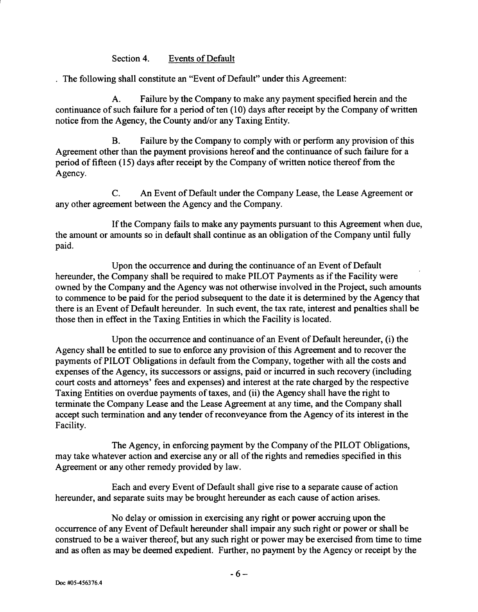#### Section 4. Events of Default

The following shall constitute an "Event of Default" under this Agreement:

A. Failure by the Company to make any payment specified herein and the continuance of such failure for a period of ten (10) days after receipt by the Company of written notice from the Agency, the County and/or any Taxing Entity.

B. Failure by the Company to comply with or perform any provision of this Agreement other than the payment provisions hereof and the continuance of such failure for a period of fifteen (15) days after receipt by the Company of written notice thereof from the Agency.

C. An Event of Default under the Company Lease, the Lease Agreement or any other agreement between the Agency and the Company.

If the Company fails to make any payments pursuant to this Agreement when due, the amount or amounts so in default shall continue as an obligation of the Company until fully paid.

Upon the occurrence and during the continuance of an Event of Default hereunder, the Company shall be required to make PILOT Payments as if the Facility were owned by the Company and the Agency was not otherwise involved in the Project, such amounts to commence to be paid for the period subsequent to the date it is determined by the Agency that there is an Event of Default hereunder. In such event, the tax rate, interest and penalties shall be those then in effect in the Taxing Entities in which the Facility is located.

Upon the occurrence and continuance of an Event of Default hereunder, (i) the Agency shall be entitled to sue to enforce any provision of this Agreement and to recover the payments of PILOT Obligations in default from the Company, together with all the costs and expenses of the Agency, its successors or assigns, paid or incurred in such recovery (including court costs and attorneys' fees and expenses) and interest at the rate charged by the respective Taxing Entities on overdue payments of taxes, and (ii) the Agency shall have the right to terminate the Company Lease and the Lease Agreement at any time, and the Company shall accept such termination and any tender of reconveyance from the Agency of its interest in the Facility.

The Agency, in enforcing payment by the Company of the PILOT Obligations, may take whatever action and exercise any or all of the rights and remedies specified in this Agreement or any other remedy provided by law.

Each and every Event of Default shall give rise to a separate cause of action hereunder, and separate suits may be brought hereunder as each cause of action arises.

No delay or omission in exercising any right or power accruing upon the occurrence of any Event of Default hereunder shall impair any such right or power or shall be construed to be a waiver thereof, but any such right or power may be exercised from time to time and as often as may be deemed expedient. Further, no payment by the Agency or receipt by the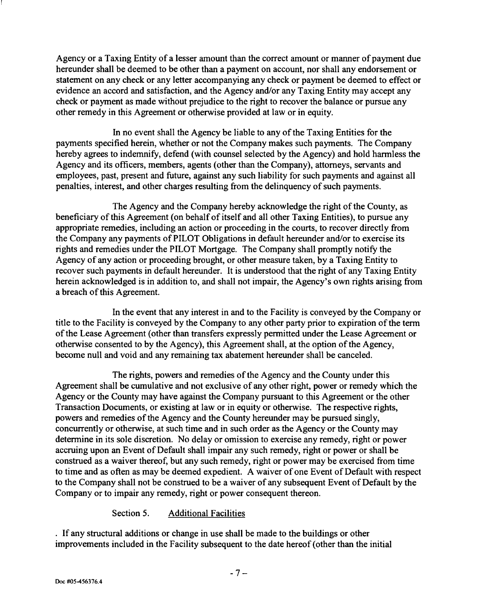Agency or a Taxing Entity of a lesser amount than the correct amount or manner of payment due hereunder shall be deemed to be other than a payment on account, nor shall any endorsement or statement on any check or any letter accompanying any check or payment be deemed to effect or evidence an accord and satisfaction, and the Agency and/or any Taxing Entity may accept any check or payment as made without prejudice to the right to recover the balance or pursue any other remedy in this Agreement or otherwise provided at law or in equity.

In no event shall the Agency be liable to any of the Taxing Entities for the payments specified herein, whether or not the Company makes such payments. The Company hereby agrees to indemnify, defend (with counsel selected by the Agency) and hold harmless the Agency and its officers, members, agents (other than the Company), attorneys, servants and employees, past, present and future, against any such liability for such payments and against all penalties, interest, and other charges resulting from the delinquency of such payments.

The Agency and the Company hereby acknowledge the right of the County, as beneficiary of this Agreement (on behalf of itself and all other Taxing Entities), to pursue any appropriate remedies, including an action or proceeding in the courts, to recover directly from the Company any payments of PILOT Obligations in default hereunder and/or to exercise its rights and remedies under the PILOT Mortgage. The Company shall promptly notify the Agency of any action or proceeding brought, or other measure taken, by a Taxing Entity to recover such payments in default hereunder. It is understood that the right of any Taxing Entity herein acknowledged is in addition to, and shall not impair, the Agency's own rights arising from a breach of this Agreement.

In the event that any interest in and to the Facility is conveyed by the Company or title to the Facility is conveyed by the Company to any other party prior to expiration of the term of the Lease Agreement (other than transfers expressly permitted under the Lease Agreement or otherwise consented to by the Agency), this Agreement shall, at the option of the Agency, become null and void and any remaining tax abatement hereunder shall be canceled.

The rights, powers and remedies of the Agency and the County under this Agreement shall be cumulative and not exclusive of any other right, power or remedy which the Agency or the County may have against the Company pursuant to this Agreement or the other Transaction Documents, or existing at law or in equity or otherwise. The respective rights, powers and remedies of the Agency and the County hereunder may be pursued singly, concurrently or otherwise, at such time and in such order as the Agency or the County may determine in its sole discretion. No delay or omission to exercise any remedy, right or power accruing upon an Event of Default shall impair any such remedy, right or power or shall be construed as a waiver thereof, but any such remedy, right or power may be exercised from time to time and as often as may be deemed expedient. A waiver of one Event of Default with respect to the Company shall not be construed to be a waiver of any subsequent Event of Default by the Company or to impair any remedy, right or power consequent thereon.

## Section 5. Additional Facilities

If any structural additions or change in use shall be made to the buildings or other improvements included in the Facility subsequent to the date hereof (other than the initial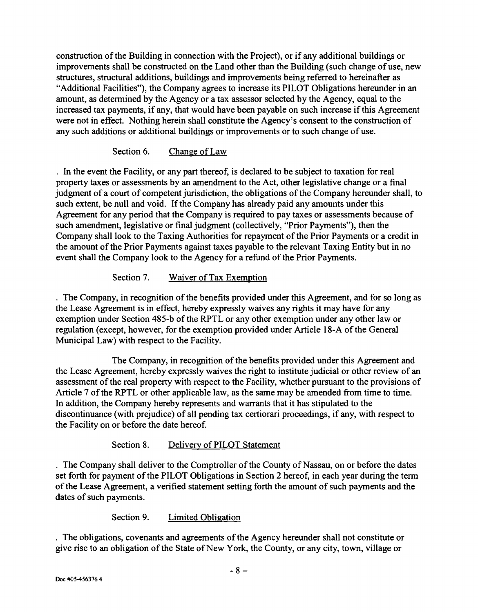construction of the Building in connection with the Project), or if any additional buildings or improvements shall be constructed on the Land other than the Building (such change of use, new structures, structural additions, buildings and improvements being referred to hereinafter as "Additional Facilities"), the Company agrees to increase its PILOT Obligations hereunder in an amount, as determined by the Agency or a tax assessor selected by the Agency, equal to the increased tax payments, if any, that would have been payable on such increase if this Agreement were not in effect. Nothing herein shall constitute the Agency's consent to the construction of any such additions or additional buildings or improvements or to such change of use.

# Section 6. Change of Law

In the event the Facility, or any part thereof, is declared to be subject to taxation for real property taxes or assessments by an amendment to the Act, other legislative change or a final judgment of a court of competent jurisdiction, the obligations of the Company hereunder shall, to such extent, be null and void. If the Company has already paid any amounts under this Agreement for any period that the Company is required to pay taxes or assessments because of such amendment, legislative or final judgment (collectively, "Prior Payments"), then the Company shall look to the Taxing Authorities for repayment of the Prior Payments or a credit in the amount of the Prior Payments against taxes payable to the relevant Taxing Entity but in no event shall the Company look to the Agency for a refund of the Prior Payments.

# Section 7. Waiver of Tax Exemption

. The Company, in recognition of the benefits provided under this Agreement, and for so long as the Lease Agreement is in effect, hereby expressly waives any rights it may have for any exemption under Section 485-b of the RPTL or any other exemption under any other law or regulation (except, however, for the exemption provided under Article 18-A of the General Municipal Law) with respect to the Facility.

The Company, in recognition of the benefits provided under this Agreement and the Lease Agreement, hereby expressly waives the right to institute judicial or other review of an assessment of the real property with respect to the Facility, whether pursuant to the provisions of Article 7 of the RPTL or other applicable law, as the same may be amended from time to time. In addition, the Company hereby represents and warrants that it has stipulated to the discontinuance (with prejudice) of all pending tax certiorari proceedings, if any, with respect to the Facility on or before the date hereof.

# Section 8. Delivery of PILOT Statement

The Company shall deliver to the Comptroller of the County of Nassau, on or before the dates set forth for payment of the PILOT Obligations in Section 2 hereof, in each year during the term of the Lease Agreement, a verified statement setting forth the amount of such payments and the dates of such payments.

## Section 9. Limited Obligation

The obligations, covenants and agreements of the Agency hereunder shall not constitute or give rise to an obligation of the State of New York, the County, or any city, town, village or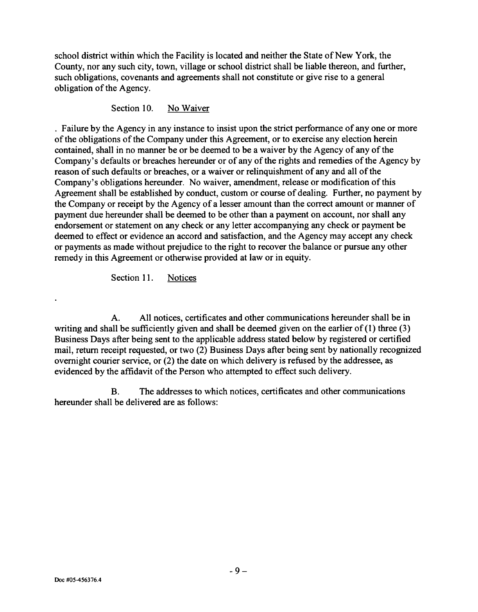school district within which the Facility is located and neither the State of New York, the County, nor any such city, town, village or school district shall be liable thereon, and further, such obligations, covenants and agreements shall not constitute or give rise to a general obligation of the Agency.

Section 10. No Waiver

Failure by the Agency in any instance to insist upon the strict performance of anyone or more of the obligations of the Company under this Agreement, or to exercise any election herein contained, shall in no manner be or be deemed to be a waiver by the Agency of any of the Company's defaults or breaches hereunder or of any of the rights and remedies of the Agency by reason of such defaults or breaches, or a waiver or relinquishment of any and all of the Company's obligations hereunder. No waiver, amendment, release or modification of this Agreement shall be established by conduct, custom or course of dealing. Further, no payment by the Company or receipt by the Agency of a lesser amount than the correct amount or manner of payment due hereunder shall be deemed to be other than a payment on account, nor shall any endorsement or statement on any check or any letter accompanying any check or payment be deemed to effect or evidence an accord and satisfaction, and the Agency may accept any check or payments as made without prejudice to the right to recover the balance or pursue any other remedy in this Agreement or otherwise provided at law or in equity.

Section 11. Notices

A. All notices, certificates and other communications hereunder shall be in writing and shall be sufficiently given and shall be deemed given on the earlier of (1) three (3) Business Days after being sent to the applicable address stated below by registered or certified mail, return receipt requested, or two (2) Business Days after being sent by nationally recognized overnight courier service, or (2) the date on which delivery is refused by the addressee, as evidenced by the affidavit of the Person who attempted to effect such delivery.

B. The addresses to which notices, certificates and other communications hereunder shall be delivered are as follows: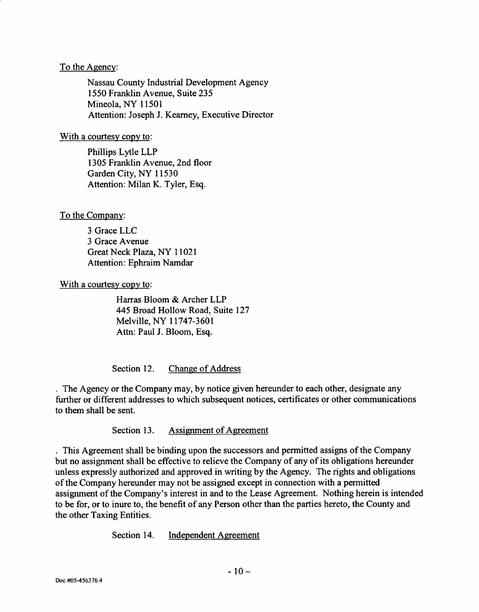#### To the Agency:

Nassau County Industrial Development Agency 1550 Franklin Avenue, Suite 235 Mineola, NY 11501 Attention: Joseph J. Kearney, Executive Director

#### With a courtesy copy to:

Phillips Lytle LLP 1305 Franklin Avenue, 2nd floor Garden City, NY 11530 Attention: Milan K. Tyler, Esq.

## To the Company:

3 Grace LLC 3 Grace A venue Great Neck Plaza, NY 11021 Attention: Ephraim Namdar

With a courtesy copy to:

Harras Bloom & Archer LLP 445 Broad Hollow Road, Suite 127 Melville, NY 11747-3601 Attn: Paul J. Bloom, Esq.

Section 12. Change of Address

The Agency or the Company may, by notice given hereunder to each other, designate any further or different addresses to which subsequent notices, certificates or other communications to them shall be sent.

Section 13. Assignment of Agreement

This Agreement shall be binding upon the successors and permitted assigns of the Company but no assignment shall be effective to relieve the Company of any of its obligations hereunder unless expressly authorized and approved in writing by the Agency. The rights and obligations of the Company hereunder may not be assigned except in connection with a permitted assignment of the Company's interest in and to the Lease Agreement. Nothing herein is intended to be for, or to inure to, the benefit of any Person other than the parties hereto, the County and the other Taxing Entities.

Section 14. Independent Agreement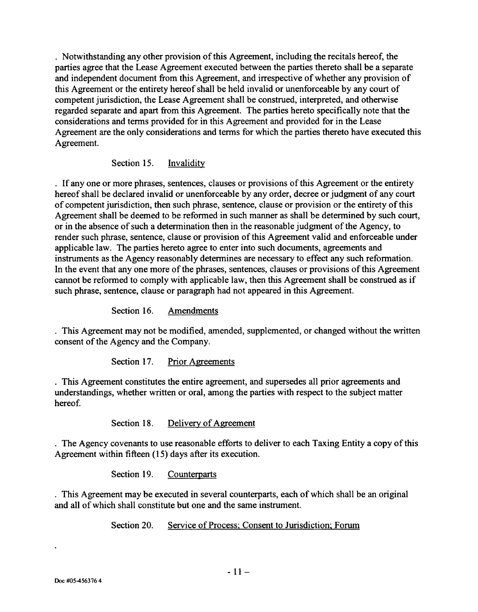· Notwithstanding any other provision of this Agreement, including the recitals hereof, the parties agree that the Lease Agreement executed between the parties thereto shall be a separate and independent document from this Agreement, and irrespective of whether any provision of this Agreement or the entirety hereof shall be held invalid or unenforceable by any court of competent jurisdiction, the Lease Agreement shall be construed, interpreted, and otherwise regarded separate and apart from this Agreement. The parties hereto specifically note that the considerations and terms provided for in this Agreement and provided for in the Lease Agreement are the only considerations and terms for which the parties thereto have executed this Agreement.

Section 15. Invalidity

If anyone or more phrases, sentences, clauses or provisions of this Agreement or the entirety hereof shall be declared invalid or unenforceable by any order, decree or judgment of any court of competent jurisdiction, then such phrase, sentence, clause or provision or the entirety of this Agreement shall be deemed to be reformed in such manner as shall be determined by such court, or in the absence of such a determination then in the reasonable judgment of the Agency, to render such phrase, sentence, clause or provision of this Agreement valid and enforceable under applicable law. The parties hereto agree to enter into such documents, agreements and instruments as the Agency reasonably determines are necessary to effect any such reformation. In the event that anyone more of the phrases, sentences, clauses or provisions of this Agreement cannot be reformed to comply with applicable law, then this Agreement shall be construed as if such phrase, sentence, clause or paragraph had not appeared in this Agreement.

Section 16. Amendments

This Agreement may not be modified, amended, supplemented, or changed without the written consent of the Agency and the Company.

Section 17. Prior Agreements

This Agreement constitutes the entire agreement, and supersedes all prior agreements and understandings, whether written or oral, among the parties with respect to the subject matter hereof.

Section 18. Delivery of Agreement

The Agency covenants to use reasonable efforts to deliver to each Taxing Entity a copy of this Agreement within fifteen (15) days after its execution.

Section 19. Counterparts

This Agreement may be executed in several counterparts, each of which shall be an original and all of which shall constitute but one and the same instrument.

Section 20. Service of Process; Consent to Jurisdiction; Forum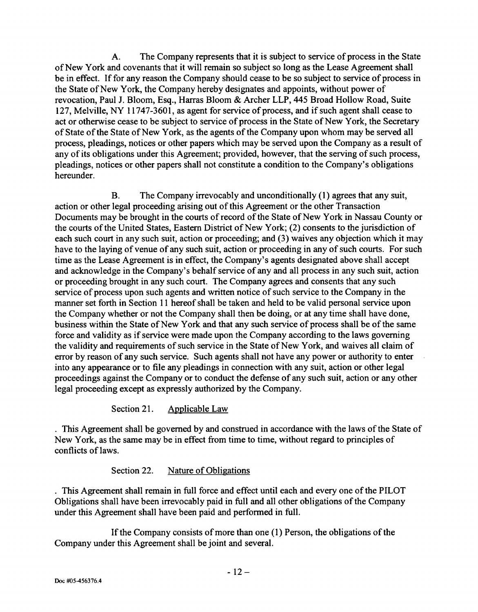A. The Company represents that it is subject to service of process in the State of New York and covenants that it will remain so subject so long as the Lease Agreement shall be in effect. If for any reason the Company should cease to be so subject to service of process in the State of New York, the Company hereby designates and appoints, without power of revocation, Paul J. Bloom, Esq., Harras Bloom & Archer LLP, 445 Broad Hollow Road, Suite 127, Melville, NY 11747-3601, as agent for service of process, and if such agent shall cease to act or otherwise cease to be subject to service of process in the State of New York, the Secretary of State of the State of New York, as the agents of the Company upon whom may be served all process, pleadings, notices or other papers which may be served upon the Company as a result of any of its obligations under this Agreement; provided, however, that the serving of such process, pleadings, notices or other papers shall not constitute a condition to the Company's obligations hereunder.

B. The Company irrevocably and unconditionally (1) agrees that any suit, action or other legal proceeding arising out of this Agreement or the other Transaction Documents may be brought in the courts of record of the State of New York in Nassau County or the courts of the United States, Eastern District of New York; (2) consents to the jurisdiction of each such court in any such suit, action or proceeding; and (3) waives any objection which it may have to the laying of venue of any such suit, action or proceeding in any of such courts. For such time as the Lease Agreement is in effect, the Company's agents designated above shall accept and acknowledge in the Company's behalf service of any and all process in any such suit, action or proceeding brought in any such court. The Company agrees and consents that any such service of process upon such agents and written notice of such service to the Company in the manner set forth in Section 11 hereof shall be taken and held to be valid personal service upon the Company whether or not the Company shall then be doing, or at any time shall have done, business within the State of New York and that any such service of process shall be of the same force and validity as if service were made upon the Company according to the laws governing the validity and requirements of such service in the State of New York, and waives all claim of error by reason of any such service. Such agents shall not have any power or authority to enter into any appearance or to file any pleadings in connection with any suit, action or other legal proceedings against the Company or to conduct the defense of any such suit, action or any other legal proceeding except as expressly authorized by the Company.

# Section 21. Applicable Law

This Agreement shall be governed by and construed in accordance with the laws of the State of New York, as the same may be in effect from time to time, without regard to principles of conflicts of laws.

# Section 22. Nature of Obligations

This Agreement shall remain in full force and effect until each and every one of the PILOT Obligations shall have been irrevocably paid in full and all other obligations of the Company under this Agreement shall have been paid and performed in full.

If the Company consists of more than one (1) Person, the obligations of the Company under this Agreement shall be joint and several.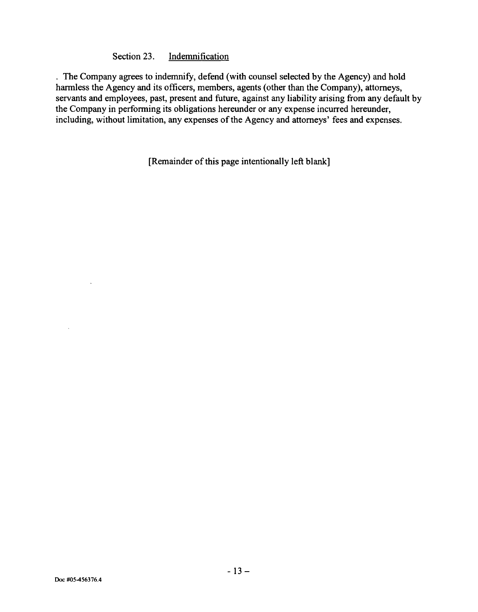### Section 23. Indemnification

The Company agrees to indemnify, defend (with counsel selected by the Agency) and hold harmless the Agency and its officers, members, agents (other than the Company), attorneys, servants and employees, past, present and future, against any liability arising from any default by the Company in performing its obligations hereunder or any expense incurred hereunder, including, without limitation, any expenses of the Agency and attorneys' fees and expenses.

[Remainder of this page intentionally left blank]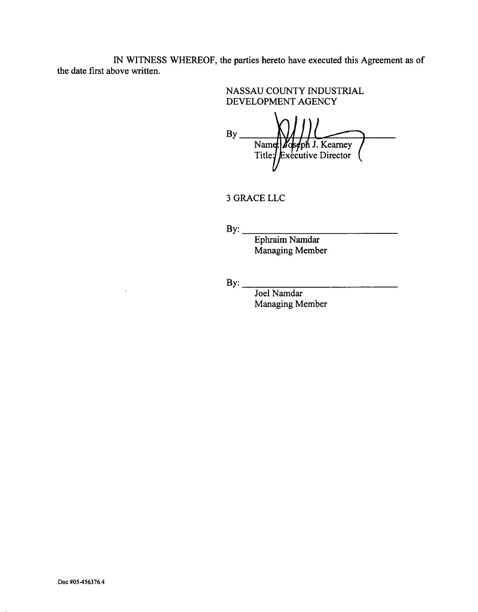IN WITNESS WHEREOF, the parties hereto have executed this Agreement as of the date first above written.

> NASSAU COUNTY INDUSTRIAL DEVELOPMENT AGENCY

 $\overline{\phantom{a}}$ By<br>Name: Boseph J. Kearney<br>Title: Executive Director

3 GRACELLC

 $\mathbf{B} \mathbf{y}$ :

Ephraim Namdar Managing Member

By: \_\_\_\_\_\_\_\_\_\_\_\_\_\_\_\_\_\_\_\_\_\_\_\_ \_\_

Joel Namdar Managing Member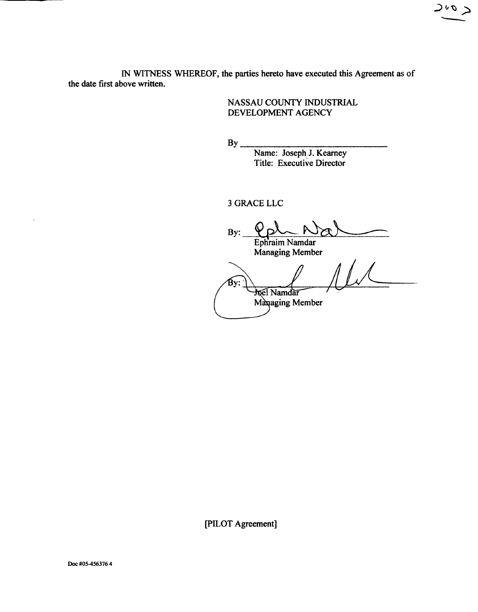IN WITNESS WHEREOF, the parties hereto have executed this Agreement as of the date first above written.

> NASSAU COUNTY INDUSTRIAL DEVELOPMENT AGENCY

 $2^{v}$ 

 $B_v$ 

Name: Joseph J. Kearney Title: Executive Director

3 GRACELLC

By: Ephraim Namdar  $11.1$ Managing Member бv: **Joel Namdai** Managing Member

[pILOT Agreement]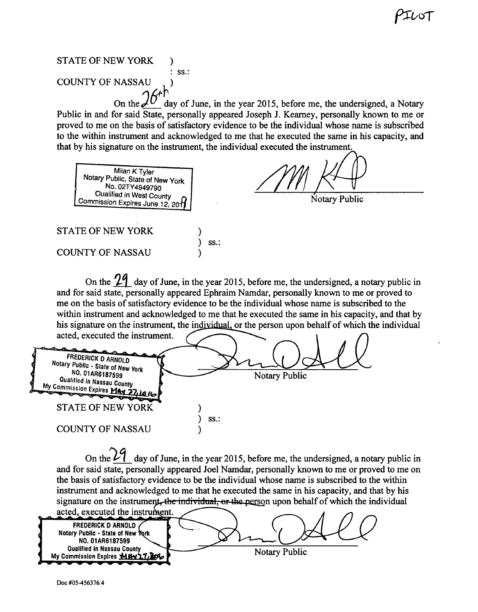# STATE OF NEW YORK ) : ss.: **COUNTY OF NASSAU**

On the  $\mathcal{J}^U$  day of June, in the year 2015, before me, the undersigned, a Notary Public in and for said State, personally appeared Joseph J. Kearney, personally known to me or proved to me on the basis of satisfactory evidence to be the individual whose name is subscribed to the within instrument and acknowledged to me that he executed the same in his capacity, and that by his signature o ent and acknowledged to me that he executed the same in his<br>on the instrument, the individual executed the instrument.

Milan K Tyler Notary Public. State of New York No. 02TY4949790<br>Qualified in West County Commission Expires June 12. 2013

 $\begin{array}{c|c|c|c|c|c|c|c} \hline \text{1114949790} & & \text{1114949790} \ \hline \text{in West County} & & \text{1114949790} & & \text{Notarv Public} \ \hline \end{array}$ 

STATE OF NEW YORK

COUNTY OF NASSAU

On the  $\frac{1}{4}$  day of June, in the year 2015, before me, the undersigned, a notary public in and for said state, personally appeared Ephraim Namdar, personally known to me or proved to me on the basis of satisfactory evidence to be the individual whose name is subscribed to the within instrument and acknowledged to me that he executed the same in his capacity, and that by his signature on the instrument, the individual, or the person upon behalf of which the individual

acted, executed the instrument. **FREDERICK D ARNOLD** *Notary* Public - *State ot* New York NO. 01AR6187599<br>Qualified in Nassau County **Notary Public My Commission Expires May 21** STATE OF NEW YORK ) ) ss.: COUNTY OF NASSAU )

) ) ss.: )

On the  $24$  day of June, in the year 2015, before me, the undersigned, a notary public in and for said state, personally appeared Joel Namdar, personally known to me or proved to me on the basis of satisfactory evidence to be the individual whose name is subscribed to the within instrument and acknowledged to me that he executed the same in his capacity, and that by his signature on the instrument, the individual, or the person upon behalf of which the individual

acted, executed the instru FREDERICK DARNOLD Notary Public - State of New York NO.01AR6187599 Qualified In Nassau County **Notary Public** My Commission Expires MH421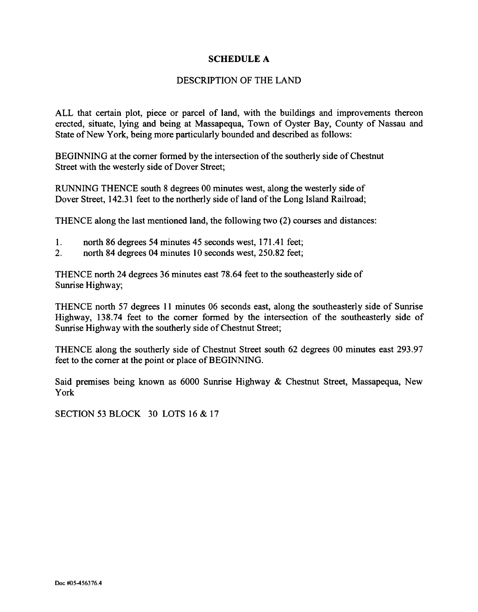## SCHEDULE A

#### DESCRIPTION OF THE LAND

ALL that certain plot, piece or parcel of land, with the buildings and improvements thereon erected, situate, lying and being at Massapequa, Town of Oyster Bay, County of Nassau and State of New York, being more particularly bounded and described as follows:

BEGINNING at the corner formed by the intersection of the southerly side of Chestnut Street with the westerly side of Dover Street;

RUNNING THENCE south 8 degrees 00 minutes west, along the westerly side of Dover Street, 142.31 feet to the northerly side of land of the Long Island Railroad;

THENCE along the last mentioned land, the following two (2) courses and distances:

- l. north 86 degrees 54 minutes 45 seconds west, 17l.41 feet;
- 2. north 84 degrees 04 minutes 10 seconds west, 250.82 feet;

THENCE north 24 degrees 36 minutes east 78.64 feet to the southeasterly side of Sunrise Highway;

THENCE north 57 degrees **11** minutes 06 seconds east, along the southeasterly side of Sunrise Highway, 138.74 feet to the corner formed by the intersection of the southeasterly side of Sunrise Highway with the southerly side of Chestnut Street;

THENCE along the southerly side of Chestnut Street south 62 degrees 00 minutes east 293.97 feet to the corner at the point or place of BEGINNING.

Said premises being known as 6000 Sunrise Highway & Chestnut Street, Massapequa, New York

SECTION 53 BLOCK 30 LOTS 16 & 17